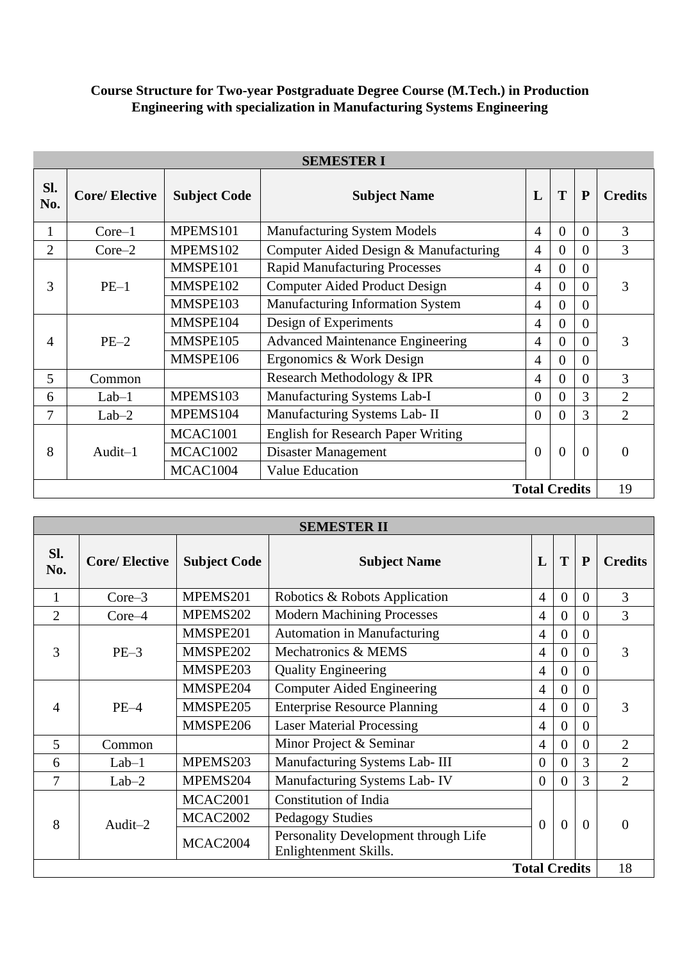## **Course Structure for Two-year Postgraduate Degree Course (M.Tech.) in Production Engineering with specialization in Manufacturing Systems Engineering**

| <b>SEMESTER I</b>          |                      |                     |                                           |                |                |              |                |  |  |  |
|----------------------------|----------------------|---------------------|-------------------------------------------|----------------|----------------|--------------|----------------|--|--|--|
| Sl.<br>No.                 | <b>Core/Elective</b> | <b>Subject Code</b> | <b>Subject Name</b>                       | L              | T              | $\mathbf{P}$ | <b>Credits</b> |  |  |  |
| 1                          | $Core-1$             | MPEMS101            | Manufacturing System Models               | $\overline{4}$ | $\overline{0}$ | $\Omega$     | 3              |  |  |  |
| $\overline{2}$             | $Core-2$             | MPEMS102            | Computer Aided Design & Manufacturing     | $\overline{4}$ | $\overline{0}$ | $\Omega$     | 3              |  |  |  |
|                            |                      | MMSPE101            | <b>Rapid Manufacturing Processes</b>      | $\overline{4}$ | $\overline{0}$ | $\theta$     |                |  |  |  |
| 3                          | $PE-1$               | MMSPE102            | Computer Aided Product Design             | $\overline{A}$ | $\overline{0}$ | $\Omega$     | 3              |  |  |  |
|                            |                      | MMSPE103            | Manufacturing Information System          | 4              | $\overline{0}$ | $\Omega$     |                |  |  |  |
|                            | $PE-2$               | MMSPE104            | Design of Experiments                     | $\overline{A}$ | $\overline{0}$ | $\Omega$     |                |  |  |  |
| 4                          |                      | MMSPE105            | <b>Advanced Maintenance Engineering</b>   | 4              | $\theta$       | $\theta$     | 3              |  |  |  |
|                            |                      | MMSPE106            | Ergonomics & Work Design                  | 4              | $\overline{0}$ | $\Omega$     |                |  |  |  |
| 5                          | Common               |                     | Research Methodology & IPR                | 4              | $\theta$       | $\Omega$     | 3              |  |  |  |
| 6                          | $Lab-1$              | MPEMS103            | Manufacturing Systems Lab-I               | $\overline{0}$ | $\theta$       | 3            | $\overline{2}$ |  |  |  |
| $\overline{7}$             | $Lab-2$              | MPEMS104            | Manufacturing Systems Lab- II             | $\theta$       | $\theta$       | 3            | $\overline{2}$ |  |  |  |
|                            |                      | <b>MCAC1001</b>     | <b>English for Research Paper Writing</b> |                |                |              |                |  |  |  |
| 8                          | Audit-1              | <b>MCAC1002</b>     | Disaster Management                       | $\Omega$       | $\theta$       | $\Omega$     | 0              |  |  |  |
|                            |                      | MCAC1004            | <b>Value Education</b>                    |                |                |              |                |  |  |  |
| 19<br><b>Total Credits</b> |                      |                     |                                           |                |                |              |                |  |  |  |

| <b>SEMESTER II</b> |                      |                     |                                                               |                      |                |                |                |  |
|--------------------|----------------------|---------------------|---------------------------------------------------------------|----------------------|----------------|----------------|----------------|--|
| SI.<br>No.         | <b>Core/Elective</b> | <b>Subject Code</b> | <b>Subject Name</b>                                           | L                    | T              | $\mathbf{P}$   | <b>Credits</b> |  |
| 1                  | $Core-3$             | MPEMS201            | Robotics & Robots Application                                 | 4                    | $\overline{0}$ | $\overline{0}$ | 3              |  |
| $\overline{2}$     | $Core-4$             | MPEMS202            | <b>Modern Machining Processes</b>                             | 4                    | $\overline{0}$ | $\Omega$       | 3              |  |
|                    |                      | MMSPE201            | <b>Automation in Manufacturing</b>                            | 4                    | $\overline{0}$ | $\theta$       |                |  |
| 3                  | $PE-3$               | MMSPE202            | Mechatronics & MEMS                                           | 4                    | $\overline{0}$ | $\theta$       | 3              |  |
|                    |                      | MMSPE203            | <b>Quality Engineering</b>                                    | $\overline{4}$       | $\overline{0}$ | $\theta$       |                |  |
|                    | $PE-4$               | MMSPE204            | <b>Computer Aided Engineering</b>                             | $\overline{4}$       | $\overline{0}$ | $\theta$       |                |  |
| 4                  |                      | MMSPE205            | <b>Enterprise Resource Planning</b>                           | $\overline{4}$       | $\overline{0}$ | $\theta$       | 3              |  |
|                    |                      | MMSPE206            | <b>Laser Material Processing</b>                              | 4                    | $\theta$       | $\Omega$       |                |  |
| 5                  | Common               |                     | Minor Project & Seminar                                       | 4                    | $\Omega$       | $\Omega$       | $\overline{2}$ |  |
| 6                  | $Lab-1$              | MPEMS203            | Manufacturing Systems Lab- III                                | $\overline{0}$       | $\Omega$       | 3              | $\overline{2}$ |  |
| 7                  | $Lab-2$              | MPEMS204            | Manufacturing Systems Lab-IV                                  | $\theta$             | $\theta$       | 3              | $\overline{2}$ |  |
|                    |                      | MCAC2001            | <b>Constitution of India</b>                                  |                      |                |                |                |  |
| 8                  | Audit-2              | <b>MCAC2002</b>     | Pedagogy Studies                                              | $\overline{0}$       | $\overline{0}$ | $\theta$       | $\Omega$       |  |
|                    |                      | MCAC2004            | Personality Development through Life<br>Enlightenment Skills. |                      |                |                |                |  |
|                    |                      |                     |                                                               | <b>Total Credits</b> |                |                | 18             |  |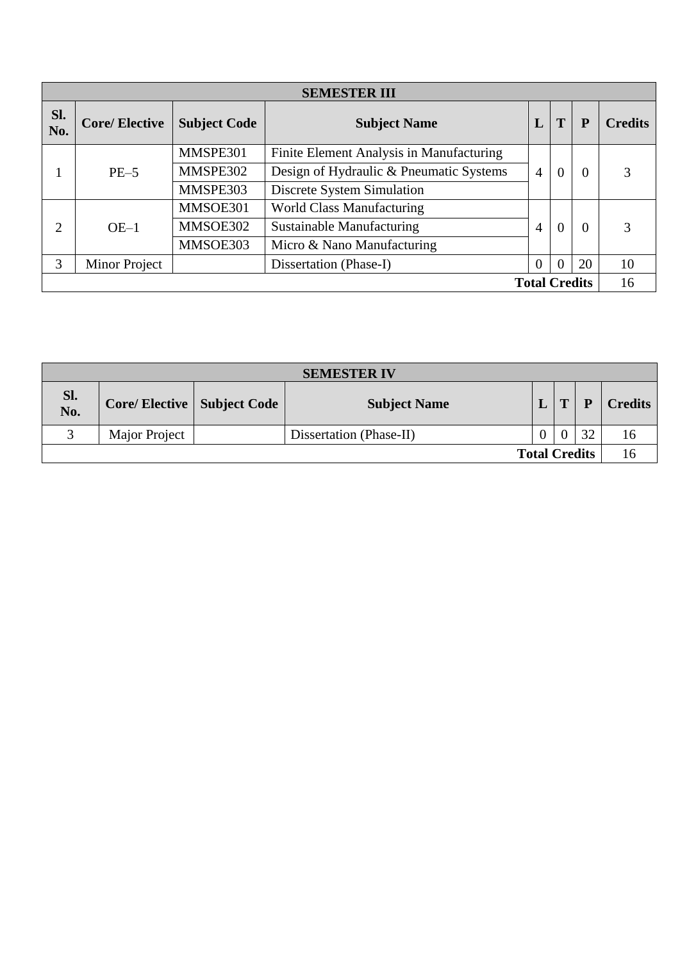| <b>SEMESTER III</b> |                      |                     |                                          |                |          |                      |                |  |  |  |
|---------------------|----------------------|---------------------|------------------------------------------|----------------|----------|----------------------|----------------|--|--|--|
| SI.<br>No.          | <b>Core/Elective</b> | <b>Subject Code</b> | <b>Subject Name</b>                      | L              |          | P                    | <b>Credits</b> |  |  |  |
|                     |                      | MMSPE301            | Finite Element Analysis in Manufacturing |                |          |                      |                |  |  |  |
|                     | $PE-5$               | MMSPE302            | Design of Hydraulic & Pneumatic Systems  | $\overline{4}$ | $\theta$ | $\Omega$             | 3              |  |  |  |
|                     |                      | MMSPE303            | Discrete System Simulation               |                |          |                      |                |  |  |  |
|                     |                      | MMSOE301            | <b>World Class Manufacturing</b>         |                |          |                      | 3              |  |  |  |
| 2                   | $OE-1$               | MMSOE302            | <b>Sustainable Manufacturing</b>         | $\overline{4}$ | $\Omega$ | $\Omega$             |                |  |  |  |
|                     |                      | MMSOE303            | Micro & Nano Manufacturing               |                |          |                      |                |  |  |  |
| 3                   | Minor Project        |                     | Dissertation (Phase-I)                   | $\overline{0}$ | 0        | 20                   | 10             |  |  |  |
|                     |                      |                     |                                          |                |          | <b>Total Credits</b> | 16             |  |  |  |

| <b>SEMESTER IV</b>   |                                     |  |                         |  |   |    |                |  |  |  |  |
|----------------------|-------------------------------------|--|-------------------------|--|---|----|----------------|--|--|--|--|
| Sl.<br>No.           | <b>Core/Elective   Subject Code</b> |  | <b>Subject Name</b>     |  | T |    | <b>Credits</b> |  |  |  |  |
|                      | <b>Major Project</b>                |  | Dissertation (Phase-II) |  |   | 32 | 16.            |  |  |  |  |
| <b>Total Credits</b> |                                     |  |                         |  |   |    |                |  |  |  |  |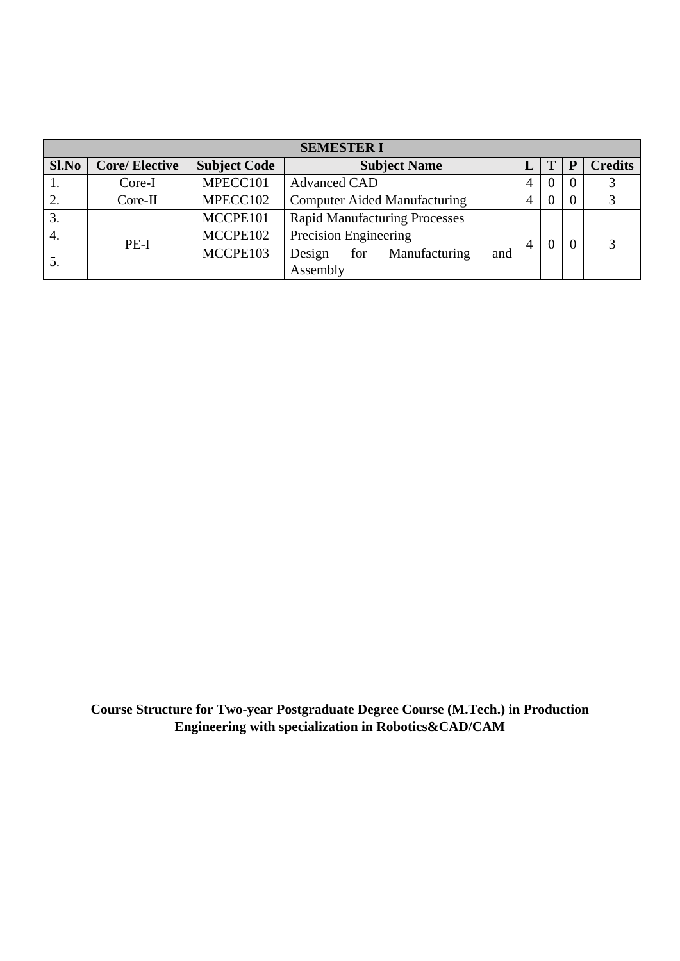| <b>SEMESTER I</b> |                      |                     |                                       |   |          |                |                |  |  |  |  |
|-------------------|----------------------|---------------------|---------------------------------------|---|----------|----------------|----------------|--|--|--|--|
| Sl.No             | <b>Core/Elective</b> | <b>Subject Code</b> | <b>Subject Name</b>                   |   | Т        | ${\bf P}$      | <b>Credits</b> |  |  |  |  |
|                   | Core-I               | MPECC101            | <b>Advanced CAD</b>                   | 4 |          | $\overline{0}$ |                |  |  |  |  |
| 2.                | $Core-II$            | MPECC102            | <b>Computer Aided Manufacturing</b>   | 4 | $\theta$ | $\overline{0}$ |                |  |  |  |  |
| 3.                |                      | MCCPE101            | <b>Rapid Manufacturing Processes</b>  |   |          |                |                |  |  |  |  |
| 4.                | $PE-I$               | MCCPE102            | Precision Engineering                 |   |          |                |                |  |  |  |  |
|                   |                      | MCCPE103            | and<br>for<br>Manufacturing<br>Design |   |          |                |                |  |  |  |  |
| $\mathcal{L}$ .   |                      |                     | Assembly                              |   |          | $\theta$       |                |  |  |  |  |

**Course Structure for Two-year Postgraduate Degree Course (M.Tech.) in Production Engineering with specialization in Robotics&CAD/CAM**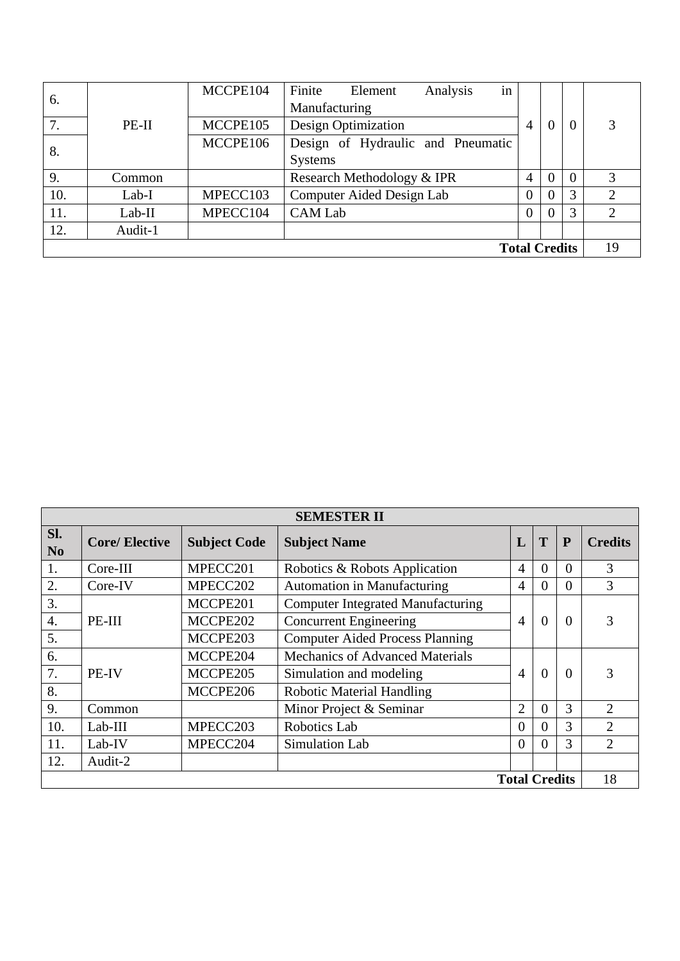| 6.                   |          | MCCPE104 | Finite<br>Analysis<br>Element<br>in |                |                |          |                |  |
|----------------------|----------|----------|-------------------------------------|----------------|----------------|----------|----------------|--|
|                      |          |          | Manufacturing                       |                |                |          |                |  |
| 7.                   | $PE-II$  | MCCPE105 | <b>Design Optimization</b>          | 4              | $\overline{0}$ | $\theta$ |                |  |
| 8.                   |          | MCCPE106 | Design of Hydraulic and Pneumatic   |                |                |          |                |  |
|                      |          |          | <b>Systems</b>                      |                |                |          |                |  |
| 9.                   | Common   |          | Research Methodology & IPR          | $\overline{4}$ | $\theta$       | $\theta$ | 3              |  |
| 10.                  | Lab-I    | MPECC103 | Computer Aided Design Lab           | $\Omega$       | $\overline{0}$ | 3        | 2              |  |
| 11.                  | $Lab-II$ | MPECC104 | <b>CAM Lab</b>                      | $\theta$       | $\theta$       | 3        | $\overline{2}$ |  |
| 12.                  | Audit-1  |          |                                     |                |                |          |                |  |
| <b>Total Credits</b> |          |          |                                     |                |                |          |                |  |

| <b>SEMESTER II</b>    |                      |                     |                                          |                |          |                |                |  |  |  |
|-----------------------|----------------------|---------------------|------------------------------------------|----------------|----------|----------------|----------------|--|--|--|
| Sl.<br>N <sub>0</sub> | <b>Core/Elective</b> | <b>Subject Code</b> | <b>Subject Name</b>                      | L              | T        | $\mathbf{P}$   | <b>Credits</b> |  |  |  |
| 1.                    | Core-III             | MPECC201            | Robotics & Robots Application            | $\overline{4}$ | $\theta$ | $\Omega$       | 3              |  |  |  |
| 2.                    | Core-IV              | MPECC202            | Automation in Manufacturing              | $\overline{4}$ | $\Omega$ | $\overline{0}$ | 3              |  |  |  |
| 3.                    |                      | MCCPE201            | <b>Computer Integrated Manufacturing</b> |                |          |                |                |  |  |  |
| 4.                    | PE-III               | MCCPE202            | <b>Concurrent Engineering</b>            | $\overline{4}$ | $\theta$ | $\Omega$       | 3              |  |  |  |
| 5.                    |                      | MCCPE203            | <b>Computer Aided Process Planning</b>   |                |          |                |                |  |  |  |
| 6.                    |                      | MCCPE204            | <b>Mechanics of Advanced Materials</b>   |                |          |                |                |  |  |  |
| 7.                    | PE-IV                | MCCPE205            | Simulation and modeling                  | $\overline{4}$ | $\theta$ | $\Omega$       | 3              |  |  |  |
| 8.                    |                      | MCCPE206            | <b>Robotic Material Handling</b>         |                |          |                |                |  |  |  |
| 9.                    | Common               |                     | Minor Project & Seminar                  | $\overline{2}$ | $\Omega$ | 3              | 2              |  |  |  |
| 10.                   | $Lab-III$            | MPECC203            | Robotics Lab                             | $\overline{0}$ | $\Omega$ | 3              | $\overline{2}$ |  |  |  |
| 11.                   | Lab-IV               | MPECC204            | Simulation Lab                           | $\Omega$       | $\Omega$ | 3              | $\overline{2}$ |  |  |  |
| 12.                   | Audit-2              |                     |                                          |                |          |                |                |  |  |  |
| <b>Total Credits</b>  |                      |                     |                                          |                |          |                |                |  |  |  |